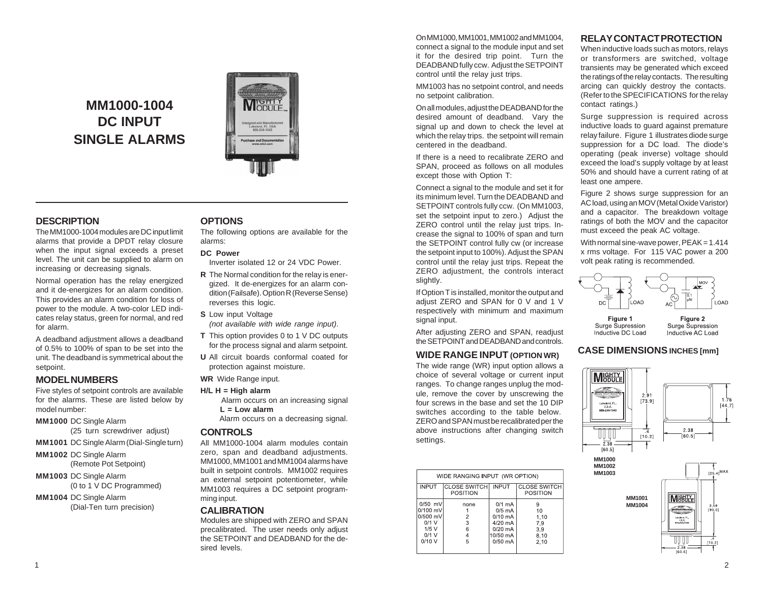# **MM1000-1004 DC INPUT SINGLE ALARMS**



# **DESCRIPTION**

The MM1000-1004 modules are DC input limit alarms that provide a DPDT relay closure when the input signal exceeds a preset level. The unit can be supplied to alarm on increasing or decreasing signals.

Normal operation has the relay energized and it de-energizes for an alarm condition. This provides an alarm condition for loss of power to the module. A two-color LED indicates relay status, green for normal, and red for alarm.

A deadband adjustment allows a deadband of 0.5% to 100% of span to be set into the unit. The deadband is symmetrical about the setpoint.

# **MODEL NUMBERS**

Five styles of setpoint controls are available for the alarms. These are listed below by model number:

**MM1000** DC Single Alarm

(25 turn screwdriver adjust)

**MM1001** DC Single Alarm (Dial-Single turn)

**MM1002** DC Single Alarm (Remote Pot Setpoint)

**MM1003** DC Single Alarm (0 to 1 V DC Programmed)

**MM1004** DC Single Alarm (Dial-Ten turn precision)

# **OPTIONS**

The following options are available for the alarms:

## **DC Power**

Inverter isolated 12 or 24 VDC Power.

- **R** The Normal condition for the relay is energized. It de-energizes for an alarm condition (Failsafe). Option R (Reverse Sense) reverses this logic.
- **S** Low input Voltage *(not available with wide range input)*.
- **T** This option provides 0 to 1 V DC outputs for the process signal and alarm setpoint.
- **U** All circuit boards conformal coated for protection against moisture.

**WR** Wide Range input.

- **H/L H = High alarm** Alarm occurs on an increasing signal
	- $L = L$  ow alarm Alarm occurs on a decreasing signal.

# **CONTROLS**

All MM1000-1004 alarm modules contain zero, span and deadband adjustments. MM1000, MM1001 and MM1004 alarms have built in setpoint controls. MM1002 requires an external setpoint potentiometer, while MM1003 requires a DC setpoint programming input.

# **CALIBRATION**

Modules are shipped with ZERO and SPAN precalibrated. The user needs only adjust the SETPOINT and DEADBAND for the desired levels.

On MM1000, MM1001, MM1002 and MM1004, connect a signal to the module input and set it for the desired trip point. Turn the DEADBAND fully ccw. Adjust the SETPOINT control until the relay just trips.

MM1003 has no setpoint control, and needs no setpoint calibration.

On all modules, adjust the DEADBAND for the desired amount of deadband. Vary the signal up and down to check the level at which the relay trips. the setpoint will remain centered in the deadband.

If there is a need to recalibrate ZERO and SPAN, proceed as follows on all modules except those with Option T:

Connect a signal to the module and set it for its minimum level. Turn the DEADBAND and SETPOINT controls fully ccw. (On MM1003, set the setpoint input to zero.) Adjust the ZERO control until the relay just trips. Increase the signal to 100% of span and turn the SETPOINT control fully cw (or increase the setpoint input to 100%). Adjust the SPAN control until the relay just trips. Repeat the ZERO adjustment, the controls interact slightly.

If Option T is installed, monitor the output and adjust ZERO and SPAN for 0 V and 1 V respectively with minimum and maximum signal input.

After adjusting ZERO and SPAN, readjust the SETPOINT and DEADBAND and controls.

# **WIDE RANGE INPUT (OPTION WR)**

The wide range (WR) input option allows a choice of several voltage or current input ranges. To change ranges unplug the module, remove the cover by unscrewing the four screws in the base and set the 10 DIP switches according to the table below. ZERO and SPAN must be recalibrated per the above instructions after changing switch settings.

| WIDE RANGING INPUT (WR OPTION) |                                          |              |                                        |
|--------------------------------|------------------------------------------|--------------|----------------------------------------|
| <b>INPUT</b>                   | <b>ICLOSE SWITCHI</b><br><b>POSITION</b> | <b>INPUT</b> | <b>CLOSE SWITCH</b><br><b>POSITION</b> |
| 0/50 mV                        | none                                     | $0/1$ mA     | 9                                      |
| $0/100$ mV                     |                                          | $0/5$ mA     | 10                                     |
| $0/500$ mV                     | $\overline{2}$                           | $0/10$ mA    | 1.10                                   |
| $0/1$ V                        | 3                                        | 4/20 mA      | 7,9                                    |
| 1/5V                           | 6                                        | $0/20$ mA    | 3,9                                    |
| $0/1$ V                        |                                          | 10/50 mA     | 8,10                                   |
| 0/10V                          | 5                                        | $0/50$ mA    | 2,10                                   |
|                                |                                          |              |                                        |
|                                |                                          |              |                                        |

# **RELAY CONTACT PROTECTION**

When inductive loads such as motors, relays or transformers are switched, voltage transients may be generated which exceed the ratings of the relay contacts. The resulting arcing can quickly destroy the contacts. (Refer to the SPECIFICATIONS for the relay contact ratings.)

Surge suppression is required across inductive loads to guard against premature relay failure. Figure 1 illustrates diode surge suppression for a DC load. The diode's operating (peak inverse) voltage should exceed the load's supply voltage by at least 50% and should have a current rating of at least one ampere.

Figure 2 shows surge suppression for an AC load, using an MOV (Metal Oxide Varistor) and a capacitor. The breakdown voltage ratings of both the MOV and the capacitor must exceed the peak AC voltage.

With normal sine-wave power, PEAK = 1.414 x rms voltage. For 115 VAC power a 200 volt peak rating is recommended.



Figure 1 Surge Supression Inductive DC Load

Figure 2 Surge Supression Inductive AC Load

# **CASE DIMENSIONS INCHES [mm]**